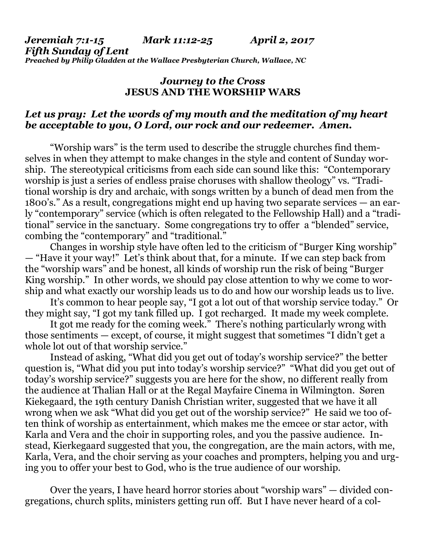*Jeremiah 7:1-15 Mark 11:12-25 April 2, 2017 Fifth Sunday of Lent Preached by Philip Gladden at the Wallace Presbyterian Church, Wallace, NC*

## *Journey to the Cross* **JESUS AND THE WORSHIP WARS**

## *Let us pray: Let the words of my mouth and the meditation of my heart be acceptable to you, O Lord, our rock and our redeemer. Amen.*

"Worship wars" is the term used to describe the struggle churches find themselves in when they attempt to make changes in the style and content of Sunday worship. The stereotypical criticisms from each side can sound like this: "Contemporary worship is just a series of endless praise choruses with shallow theology" vs. "Traditional worship is dry and archaic, with songs written by a bunch of dead men from the 1800's." As a result, congregations might end up having two separate services — an early "contemporary" service (which is often relegated to the Fellowship Hall) and a "traditional" service in the sanctuary. Some congregations try to offer a "blended" service, combing the "contemporary" and "traditional."

Changes in worship style have often led to the criticism of "Burger King worship" — "Have it your way!" Let's think about that, for a minute. If we can step back from the "worship wars" and be honest, all kinds of worship run the risk of being "Burger King worship." In other words, we should pay close attention to why we come to worship and what exactly our worship leads us to do and how our worship leads us to live.

It's common to hear people say, "I got a lot out of that worship service today." Or they might say, "I got my tank filled up. I got recharged. It made my week complete.

It got me ready for the coming week." There's nothing particularly wrong with those sentiments — except, of course, it might suggest that sometimes "I didn't get a whole lot out of that worship service."

Instead of asking, "What did you get out of today's worship service?" the better question is, "What did you put into today's worship service?" "What did you get out of today's worship service?" suggests you are here for the show, no different really from the audience at Thalian Hall or at the Regal Mayfaire Cinema in Wilmington. Søren Kiekegaard, the 19th century Danish Christian writer, suggested that we have it all wrong when we ask "What did you get out of the worship service?" He said we too often think of worship as entertainment, which makes me the emcee or star actor, with Karla and Vera and the choir in supporting roles, and you the passive audience. Instead, Kierkegaard suggested that you, the congregation, are the main actors, with me, Karla, Vera, and the choir serving as your coaches and prompters, helping you and urging you to offer your best to God, who is the true audience of our worship.

Over the years, I have heard horror stories about "worship wars" — divided congregations, church splits, ministers getting run off. But I have never heard of a col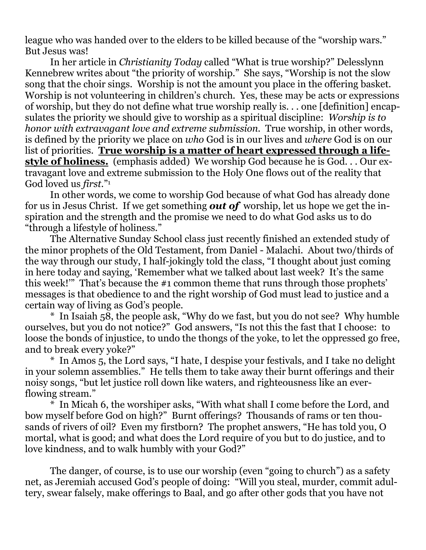league who was handed over to the elders to be killed because of the "worship wars." But Jesus was!

In her article in *Christianity Today* called "What is true worship?" Delesslynn Kennebrew writes about "the priority of worship." She says, "Worship is not the slow song that the choir sings. Worship is not the amount you place in the offering basket. Worship is not volunteering in children's church. Yes, these may be acts or expressions of worship, but they do not define what true worship really is. . . one [definition] encapsulates the priority we should give to worship as a spiritual discipline: *Worship is to honor with extravagant love and extreme submission.* True worship, in other words, is defined by the priority we place on *who* God is in our lives and *where* God is on our list of priorities. **True worship is a matter of heart expressed through a lifestyle of holiness.** (emphasis added) We worship God because he is God. . . Our extravagant love and extreme submission to the Holy One flows out of the reality that God loved us *first*."<sup>1</sup>

In other words, we come to worship God because of what God has already done for us in Jesus Christ. If we get something *out of* worship, let us hope we get the inspiration and the strength and the promise we need to do what God asks us to do "through a lifestyle of holiness."

The Alternative Sunday School class just recently finished an extended study of the minor prophets of the Old Testament, from Daniel - Malachi. About two/thirds of the way through our study, I half-jokingly told the class, "I thought about just coming in here today and saying, 'Remember what we talked about last week? It's the same this week!'" That's because the #1 common theme that runs through those prophets' messages is that obedience to and the right worship of God must lead to justice and a certain way of living as God's people.

\* In Isaiah 58, the people ask, "Why do we fast, but you do not see? Why humble ourselves, but you do not notice?" God answers, "Is not this the fast that I choose: to loose the bonds of injustice, to undo the thongs of the yoke, to let the oppressed go free, and to break every yoke?"

\* In Amos 5, the Lord says, "I hate, I despise your festivals, and I take no delight in your solemn assemblies." He tells them to take away their burnt offerings and their noisy songs, "but let justice roll down like waters, and righteousness like an everflowing stream."

\* In Micah 6, the worshiper asks, "With what shall I come before the Lord, and bow myself before God on high?" Burnt offerings? Thousands of rams or ten thousands of rivers of oil? Even my firstborn? The prophet answers, "He has told you, O mortal, what is good; and what does the Lord require of you but to do justice, and to love kindness, and to walk humbly with your God?"

The danger, of course, is to use our worship (even "going to church") as a safety net, as Jeremiah accused God's people of doing: "Will you steal, murder, commit adultery, swear falsely, make offerings to Baal, and go after other gods that you have not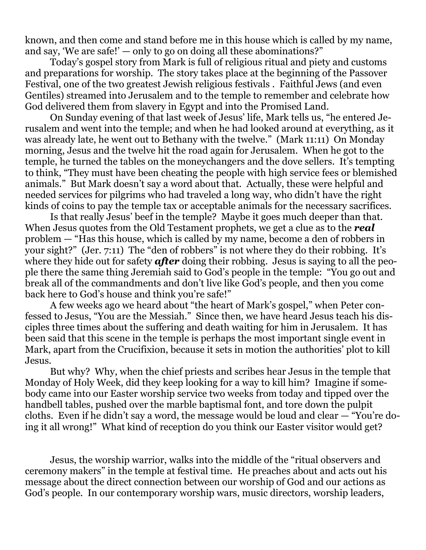known, and then come and stand before me in this house which is called by my name, and say, 'We are safe!'  $-$  only to go on doing all these abominations?"

Today's gospel story from Mark is full of religious ritual and piety and customs and preparations for worship. The story takes place at the beginning of the Passover Festival, one of the two greatest Jewish religious festivals . Faithful Jews (and even Gentiles) streamed into Jerusalem and to the temple to remember and celebrate how God delivered them from slavery in Egypt and into the Promised Land.

On Sunday evening of that last week of Jesus' life, Mark tells us, "he entered Jerusalem and went into the temple; and when he had looked around at everything, as it was already late, he went out to Bethany with the twelve." (Mark 11:11) On Monday morning, Jesus and the twelve hit the road again for Jerusalem. When he got to the temple, he turned the tables on the moneychangers and the dove sellers. It's tempting to think, "They must have been cheating the people with high service fees or blemished animals." But Mark doesn't say a word about that. Actually, these were helpful and needed services for pilgrims who had traveled a long way, who didn't have the right kinds of coins to pay the temple tax or acceptable animals for the necessary sacrifices.

Is that really Jesus' beef in the temple? Maybe it goes much deeper than that. When Jesus quotes from the Old Testament prophets, we get a clue as to the *real* problem — "Has this house, which is called by my name, become a den of robbers in your sight?" (Jer. 7:11) The "den of robbers" is not where they do their robbing. It's where they hide out for safety **after** doing their robbing. Jesus is saying to all the people there the same thing Jeremiah said to God's people in the temple: "You go out and break all of the commandments and don't live like God's people, and then you come back here to God's house and think you're safe!"

A few weeks ago we heard about "the heart of Mark's gospel," when Peter confessed to Jesus, "You are the Messiah." Since then, we have heard Jesus teach his disciples three times about the suffering and death waiting for him in Jerusalem. It has been said that this scene in the temple is perhaps the most important single event in Mark, apart from the Crucifixion, because it sets in motion the authorities' plot to kill Jesus.

But why? Why, when the chief priests and scribes hear Jesus in the temple that Monday of Holy Week, did they keep looking for a way to kill him? Imagine if somebody came into our Easter worship service two weeks from today and tipped over the handbell tables, pushed over the marble baptismal font, and tore down the pulpit cloths. Even if he didn't say a word, the message would be loud and clear — "You're doing it all wrong!" What kind of reception do you think our Easter visitor would get?

Jesus, the worship warrior, walks into the middle of the "ritual observers and ceremony makers" in the temple at festival time. He preaches about and acts out his message about the direct connection between our worship of God and our actions as God's people. In our contemporary worship wars, music directors, worship leaders,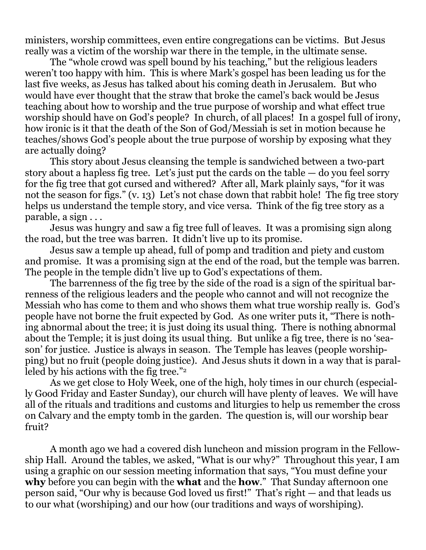ministers, worship committees, even entire congregations can be victims. But Jesus really was a victim of the worship war there in the temple, in the ultimate sense.

The "whole crowd was spell bound by his teaching," but the religious leaders weren't too happy with him. This is where Mark's gospel has been leading us for the last five weeks, as Jesus has talked about his coming death in Jerusalem. But who would have ever thought that the straw that broke the camel's back would be Jesus teaching about how to worship and the true purpose of worship and what effect true worship should have on God's people? In church, of all places! In a gospel full of irony, how ironic is it that the death of the Son of God/Messiah is set in motion because he teaches/shows God's people about the true purpose of worship by exposing what they are actually doing?

This story about Jesus cleansing the temple is sandwiched between a two-part story about a hapless fig tree. Let's just put the cards on the table — do you feel sorry for the fig tree that got cursed and withered? After all, Mark plainly says, "for it was not the season for figs." (v. 13) Let's not chase down that rabbit hole! The fig tree story helps us understand the temple story, and vice versa. Think of the fig tree story as a parable, a sign . . .

Jesus was hungry and saw a fig tree full of leaves. It was a promising sign along the road, but the tree was barren. It didn't live up to its promise.

Jesus saw a temple up ahead, full of pomp and tradition and piety and custom and promise. It was a promising sign at the end of the road, but the temple was barren. The people in the temple didn't live up to God's expectations of them.

The barrenness of the fig tree by the side of the road is a sign of the spiritual barrenness of the religious leaders and the people who cannot and will not recognize the Messiah who has come to them and who shows them what true worship really is. God's people have not borne the fruit expected by God. As one writer puts it, "There is nothing abnormal about the tree; it is just doing its usual thing. There is nothing abnormal about the Temple; it is just doing its usual thing. But unlike a fig tree, there is no 'season' for justice. Justice is always in season. The Temple has leaves (people worshipping) but no fruit (people doing justice). And Jesus shuts it down in a way that is paralleled by his actions with the fig tree."<sup>2</sup>

As we get close to Holy Week, one of the high, holy times in our church (especially Good Friday and Easter Sunday), our church will have plenty of leaves. We will have all of the rituals and traditions and customs and liturgies to help us remember the cross on Calvary and the empty tomb in the garden. The question is, will our worship bear fruit?

A month ago we had a covered dish luncheon and mission program in the Fellowship Hall. Around the tables, we asked, "What is our why?" Throughout this year, I am using a graphic on our session meeting information that says, "You must define your **why** before you can begin with the **what** and the **how**." That Sunday afternoon one person said, "Our why is because God loved us first!" That's right — and that leads us to our what (worshiping) and our how (our traditions and ways of worshiping).